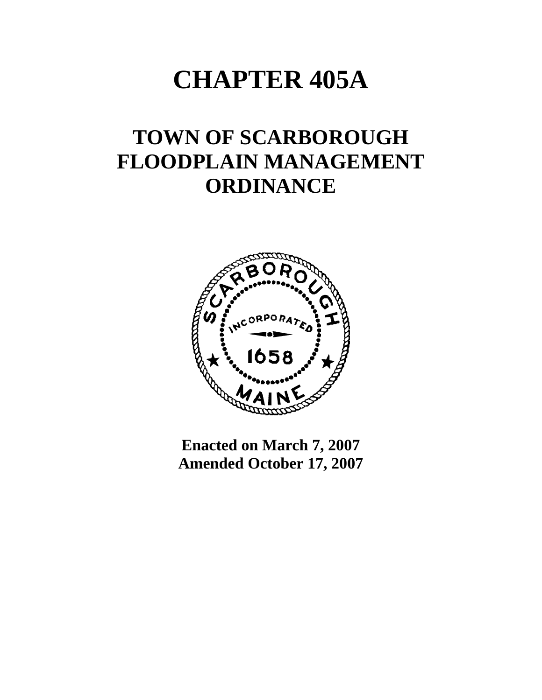# **CHAPTER 405A**

## **TOWN OF SCARBOROUGH FLOODPLAIN MANAGEMENT ORDINANCE**



**Enacted on March 7, 2007 Amended October 17, 2007**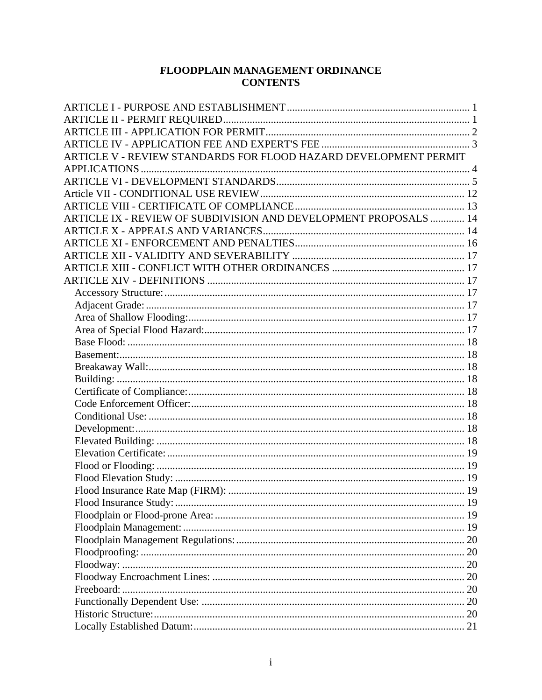### FLOODPLAIN MANAGEMENT ORDINANCE **CONTENTS**

| ARTICLE V - REVIEW STANDARDS FOR FLOOD HAZARD DEVELOPMENT PERMIT |  |
|------------------------------------------------------------------|--|
|                                                                  |  |
|                                                                  |  |
|                                                                  |  |
|                                                                  |  |
| ARTICLE IX - REVIEW OF SUBDIVISION AND DEVELOPMENT PROPOSALS  14 |  |
|                                                                  |  |
|                                                                  |  |
|                                                                  |  |
|                                                                  |  |
|                                                                  |  |
|                                                                  |  |
|                                                                  |  |
|                                                                  |  |
|                                                                  |  |
|                                                                  |  |
|                                                                  |  |
|                                                                  |  |
|                                                                  |  |
|                                                                  |  |
|                                                                  |  |
|                                                                  |  |
|                                                                  |  |
|                                                                  |  |
|                                                                  |  |
|                                                                  |  |
|                                                                  |  |
|                                                                  |  |
|                                                                  |  |
|                                                                  |  |
|                                                                  |  |
|                                                                  |  |
|                                                                  |  |
|                                                                  |  |
|                                                                  |  |
|                                                                  |  |
|                                                                  |  |
|                                                                  |  |
|                                                                  |  |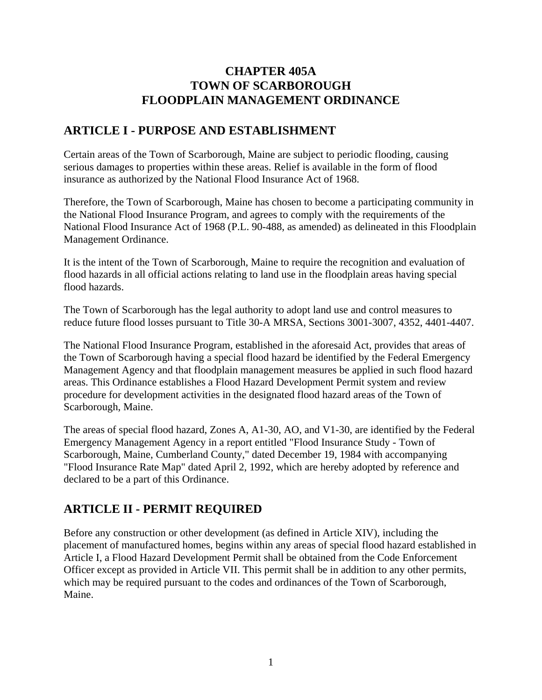## **CHAPTER 405A TOWN OF SCARBOROUGH FLOODPLAIN MANAGEMENT ORDINANCE**

## <span id="page-3-0"></span>**ARTICLE I - PURPOSE AND ESTABLISHMENT**

Certain areas of the Town of Scarborough, Maine are subject to periodic flooding, causing serious damages to properties within these areas. Relief is available in the form of flood insurance as authorized by the National Flood Insurance Act of 1968.

Therefore, the Town of Scarborough, Maine has chosen to become a participating community in the National Flood Insurance Program, and agrees to comply with the requirements of the National Flood Insurance Act of 1968 (P.L. 90-488, as amended) as delineated in this Floodplain Management Ordinance.

It is the intent of the Town of Scarborough, Maine to require the recognition and evaluation of flood hazards in all official actions relating to land use in the floodplain areas having special flood hazards.

The Town of Scarborough has the legal authority to adopt land use and control measures to reduce future flood losses pursuant to Title 30-A MRSA, Sections 3001-3007, 4352, 4401-4407.

The National Flood Insurance Program, established in the aforesaid Act, provides that areas of the Town of Scarborough having a special flood hazard be identified by the Federal Emergency Management Agency and that floodplain management measures be applied in such flood hazard areas. This Ordinance establishes a Flood Hazard Development Permit system and review procedure for development activities in the designated flood hazard areas of the Town of Scarborough, Maine.

The areas of special flood hazard, Zones A, A1-30, AO, and V1-30, are identified by the Federal Emergency Management Agency in a report entitled "Flood Insurance Study - Town of Scarborough, Maine, Cumberland County," dated December 19, 1984 with accompanying "Flood Insurance Rate Map" dated April 2, 1992, which are hereby adopted by reference and declared to be a part of this Ordinance.

## **ARTICLE II - PERMIT REQUIRED**

Before any construction or other development (as defined in Article XIV), including the placement of manufactured homes, begins within any areas of special flood hazard established in Article I, a Flood Hazard Development Permit shall be obtained from the Code Enforcement Officer except as provided in Article VII. This permit shall be in addition to any other permits, which may be required pursuant to the codes and ordinances of the Town of Scarborough, Maine.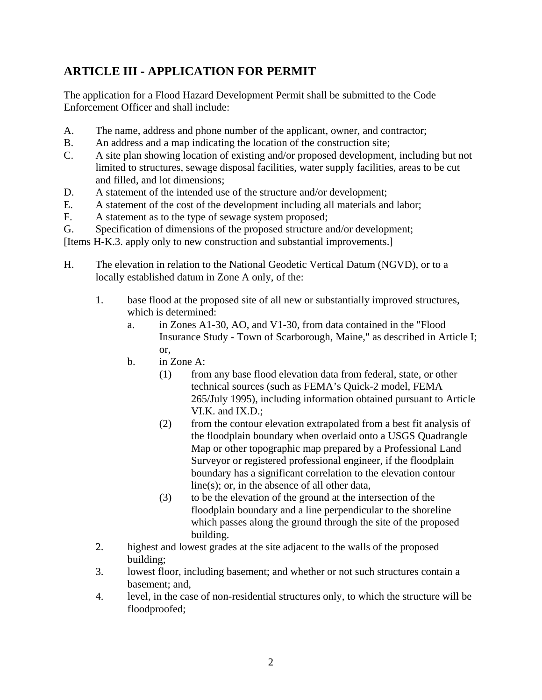## <span id="page-4-0"></span>**ARTICLE III - APPLICATION FOR PERMIT**

The application for a Flood Hazard Development Permit shall be submitted to the Code Enforcement Officer and shall include:

- A. The name, address and phone number of the applicant, owner, and contractor;
- B. An address and a map indicating the location of the construction site;
- C. A site plan showing location of existing and/or proposed development, including but not limited to structures, sewage disposal facilities, water supply facilities, areas to be cut and filled, and lot dimensions;
- D. A statement of the intended use of the structure and/or development;
- E. A statement of the cost of the development including all materials and labor;
- F. A statement as to the type of sewage system proposed;
- G. Specification of dimensions of the proposed structure and/or development;

[Items H-K.3. apply only to new construction and substantial improvements.]

- H. The elevation in relation to the National Geodetic Vertical Datum (NGVD), or to a locally established datum in Zone A only, of the:
	- 1. base flood at the proposed site of all new or substantially improved structures, which is determined:
		- a. in Zones A1-30, AO, and V1-30, from data contained in the "Flood Insurance Study - Town of Scarborough, Maine," as described in Article I; or,
		- b. in Zone A:
			- (1) from any base flood elevation data from federal, state, or other technical sources (such as FEMA's Quick-2 model, FEMA 265/July 1995), including information obtained pursuant to Article VI.K. and IX.D.;
			- (2) from the contour elevation extrapolated from a best fit analysis of the floodplain boundary when overlaid onto a USGS Quadrangle Map or other topographic map prepared by a Professional Land Surveyor or registered professional engineer, if the floodplain boundary has a significant correlation to the elevation contour line(s); or, in the absence of all other data,
			- (3) to be the elevation of the ground at the intersection of the floodplain boundary and a line perpendicular to the shoreline which passes along the ground through the site of the proposed building.
	- 2. highest and lowest grades at the site adjacent to the walls of the proposed building;
	- 3. lowest floor, including basement; and whether or not such structures contain a basement; and,
	- 4. level, in the case of non-residential structures only, to which the structure will be floodproofed;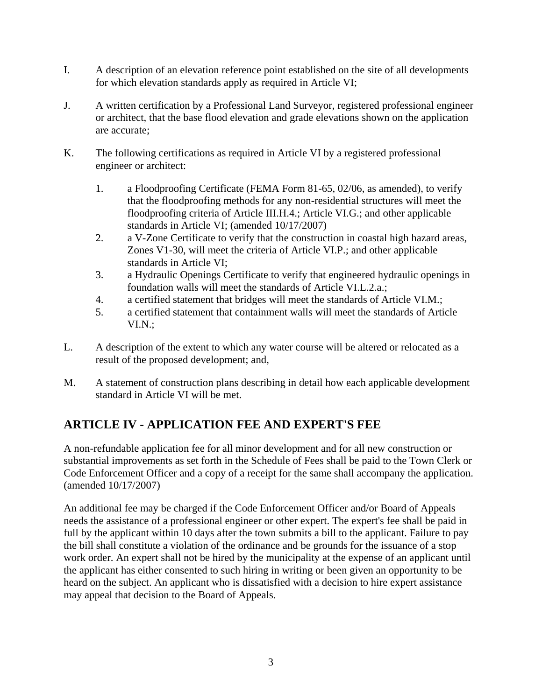- <span id="page-5-0"></span>I. A description of an elevation reference point established on the site of all developments for which elevation standards apply as required in Article VI;
- J. A written certification by a Professional Land Surveyor, registered professional engineer or architect, that the base flood elevation and grade elevations shown on the application are accurate;
- K. The following certifications as required in Article VI by a registered professional engineer or architect:
	- 1. a Floodproofing Certificate (FEMA Form 81-65, 02/06, as amended), to verify that the floodproofing methods for any non-residential structures will meet the floodproofing criteria of Article III.H.4.; Article VI.G.; and other applicable standards in Article VI; (amended 10/17/2007)
	- 2. a V-Zone Certificate to verify that the construction in coastal high hazard areas, Zones V1-30, will meet the criteria of Article VI.P.; and other applicable standards in Article VI;
	- 3. a Hydraulic Openings Certificate to verify that engineered hydraulic openings in foundation walls will meet the standards of Article VI.L.2.a.;
	- 4. a certified statement that bridges will meet the standards of Article VI.M.;
	- 5. a certified statement that containment walls will meet the standards of Article VI.N.;
- L. A description of the extent to which any water course will be altered or relocated as a result of the proposed development; and,
- M. A statement of construction plans describing in detail how each applicable development standard in Article VI will be met.

## **ARTICLE IV - APPLICATION FEE AND EXPERT'S FEE**

A non-refundable application fee for all minor development and for all new construction or substantial improvements as set forth in the Schedule of Fees shall be paid to the Town Clerk or Code Enforcement Officer and a copy of a receipt for the same shall accompany the application. (amended 10/17/2007)

An additional fee may be charged if the Code Enforcement Officer and/or Board of Appeals needs the assistance of a professional engineer or other expert. The expert's fee shall be paid in full by the applicant within 10 days after the town submits a bill to the applicant. Failure to pay the bill shall constitute a violation of the ordinance and be grounds for the issuance of a stop work order. An expert shall not be hired by the municipality at the expense of an applicant until the applicant has either consented to such hiring in writing or been given an opportunity to be heard on the subject. An applicant who is dissatisfied with a decision to hire expert assistance may appeal that decision to the Board of Appeals.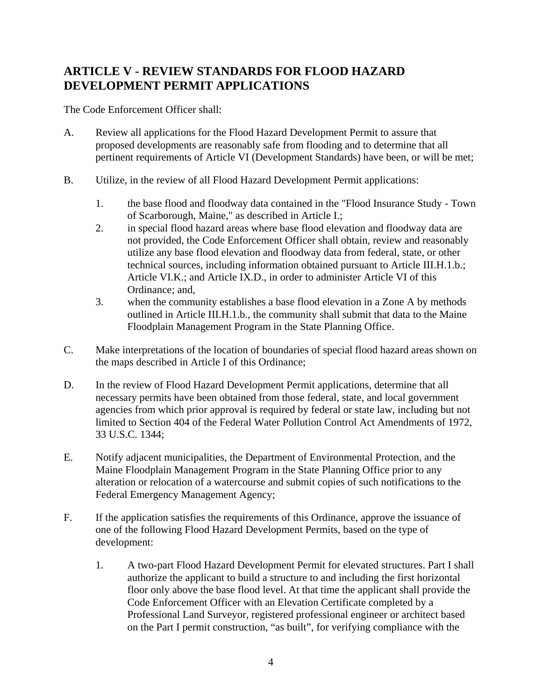## <span id="page-6-0"></span>**ARTICLE V - REVIEW STANDARDS FOR FLOOD HAZARD DEVELOPMENT PERMIT APPLICATIONS**

The Code Enforcement Officer shall:

- A. Review all applications for the Flood Hazard Development Permit to assure that proposed developments are reasonably safe from flooding and to determine that all pertinent requirements of Article VI (Development Standards) have been, or will be met;
- B. Utilize, in the review of all Flood Hazard Development Permit applications:
	- 1. the base flood and floodway data contained in the "Flood Insurance Study Town of Scarborough, Maine," as described in Article I.;
	- 2. in special flood hazard areas where base flood elevation and floodway data are not provided, the Code Enforcement Officer shall obtain, review and reasonably utilize any base flood elevation and floodway data from federal, state, or other technical sources, including information obtained pursuant to Article III.H.1.b.; Article VI.K.; and Article IX.D., in order to administer Article VI of this Ordinance; and,
	- 3. when the community establishes a base flood elevation in a Zone A by methods outlined in Article III.H.1.b., the community shall submit that data to the Maine Floodplain Management Program in the State Planning Office.
- C. Make interpretations of the location of boundaries of special flood hazard areas shown on the maps described in Article I of this Ordinance;
- D. In the review of Flood Hazard Development Permit applications, determine that all necessary permits have been obtained from those federal, state, and local government agencies from which prior approval is required by federal or state law, including but not limited to Section 404 of the Federal Water Pollution Control Act Amendments of 1972, 33 U.S.C. 1344;
- E. Notify adjacent municipalities, the Department of Environmental Protection, and the Maine Floodplain Management Program in the State Planning Office prior to any alteration or relocation of a watercourse and submit copies of such notifications to the Federal Emergency Management Agency;
- F. If the application satisfies the requirements of this Ordinance, approve the issuance of one of the following Flood Hazard Development Permits, based on the type of development:
	- 1. A two-part Flood Hazard Development Permit for elevated structures. Part I shall authorize the applicant to build a structure to and including the first horizontal floor only above the base flood level. At that time the applicant shall provide the Code Enforcement Officer with an Elevation Certificate completed by a Professional Land Surveyor, registered professional engineer or architect based on the Part I permit construction, "as built", for verifying compliance with the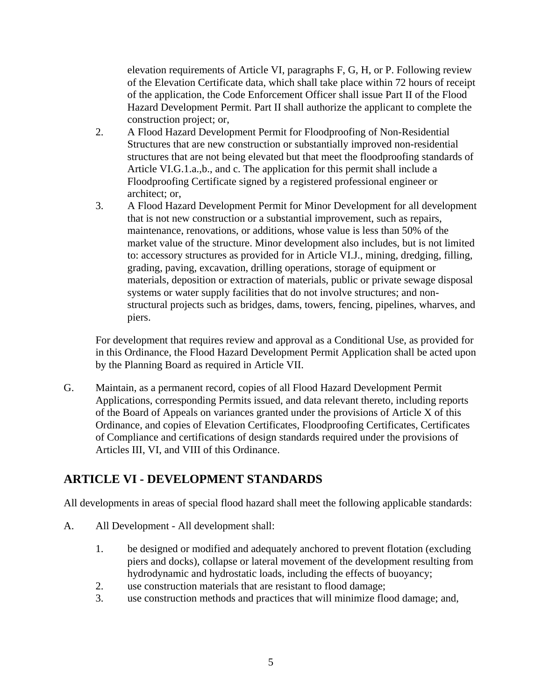<span id="page-7-0"></span>elevation requirements of Article VI, paragraphs F, G, H, or P. Following review of the Elevation Certificate data, which shall take place within 72 hours of receipt of the application, the Code Enforcement Officer shall issue Part II of the Flood Hazard Development Permit. Part II shall authorize the applicant to complete the construction project; or,

- 2. A Flood Hazard Development Permit for Floodproofing of Non-Residential Structures that are new construction or substantially improved non-residential structures that are not being elevated but that meet the floodproofing standards of Article VI.G.1.a.,b., and c. The application for this permit shall include a Floodproofing Certificate signed by a registered professional engineer or architect; or,
- 3. A Flood Hazard Development Permit for Minor Development for all development that is not new construction or a substantial improvement, such as repairs, maintenance, renovations, or additions, whose value is less than 50% of the market value of the structure. Minor development also includes, but is not limited to: accessory structures as provided for in Article VI.J., mining, dredging, filling, grading, paving, excavation, drilling operations, storage of equipment or materials, deposition or extraction of materials, public or private sewage disposal systems or water supply facilities that do not involve structures; and nonstructural projects such as bridges, dams, towers, fencing, pipelines, wharves, and piers.

For development that requires review and approval as a Conditional Use, as provided for in this Ordinance, the Flood Hazard Development Permit Application shall be acted upon by the Planning Board as required in Article VII.

G. Maintain, as a permanent record, copies of all Flood Hazard Development Permit Applications, corresponding Permits issued, and data relevant thereto, including reports of the Board of Appeals on variances granted under the provisions of Article X of this Ordinance, and copies of Elevation Certificates, Floodproofing Certificates, Certificates of Compliance and certifications of design standards required under the provisions of Articles III, VI, and VIII of this Ordinance.

## **ARTICLE VI - DEVELOPMENT STANDARDS**

All developments in areas of special flood hazard shall meet the following applicable standards:

- A. All Development All development shall:
	- 1. be designed or modified and adequately anchored to prevent flotation (excluding piers and docks), collapse or lateral movement of the development resulting from hydrodynamic and hydrostatic loads, including the effects of buoyancy;
	- 2. use construction materials that are resistant to flood damage;
	- 3. use construction methods and practices that will minimize flood damage; and,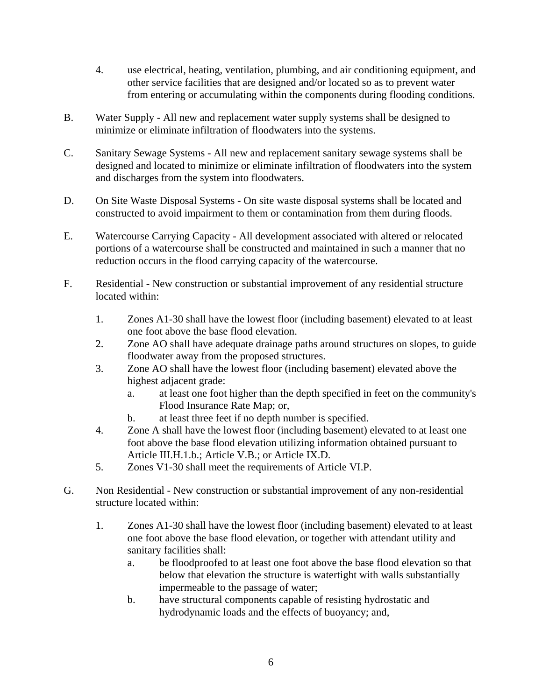- 4. use electrical, heating, ventilation, plumbing, and air conditioning equipment, and other service facilities that are designed and/or located so as to prevent water from entering or accumulating within the components during flooding conditions.
- B. Water Supply All new and replacement water supply systems shall be designed to minimize or eliminate infiltration of floodwaters into the systems.
- C. Sanitary Sewage Systems All new and replacement sanitary sewage systems shall be designed and located to minimize or eliminate infiltration of floodwaters into the system and discharges from the system into floodwaters.
- D. On Site Waste Disposal Systems On site waste disposal systems shall be located and constructed to avoid impairment to them or contamination from them during floods.
- E. Watercourse Carrying Capacity All development associated with altered or relocated portions of a watercourse shall be constructed and maintained in such a manner that no reduction occurs in the flood carrying capacity of the watercourse.
- F. Residential New construction or substantial improvement of any residential structure located within:
	- 1. Zones A1-30 shall have the lowest floor (including basement) elevated to at least one foot above the base flood elevation.
	- 2. Zone AO shall have adequate drainage paths around structures on slopes, to guide floodwater away from the proposed structures.
	- 3. Zone AO shall have the lowest floor (including basement) elevated above the highest adjacent grade:
		- a. at least one foot higher than the depth specified in feet on the community's Flood Insurance Rate Map; or,
		- b. at least three feet if no depth number is specified.
	- 4. Zone A shall have the lowest floor (including basement) elevated to at least one foot above the base flood elevation utilizing information obtained pursuant to Article III.H.1.b.; Article V.B.; or Article IX.D.
	- 5. Zones V1-30 shall meet the requirements of Article VI.P.
- G. Non Residential New construction or substantial improvement of any non-residential structure located within:
	- 1. Zones A1-30 shall have the lowest floor (including basement) elevated to at least one foot above the base flood elevation, or together with attendant utility and sanitary facilities shall:
		- a. be floodproofed to at least one foot above the base flood elevation so that below that elevation the structure is watertight with walls substantially impermeable to the passage of water;
		- b. have structural components capable of resisting hydrostatic and hydrodynamic loads and the effects of buoyancy; and,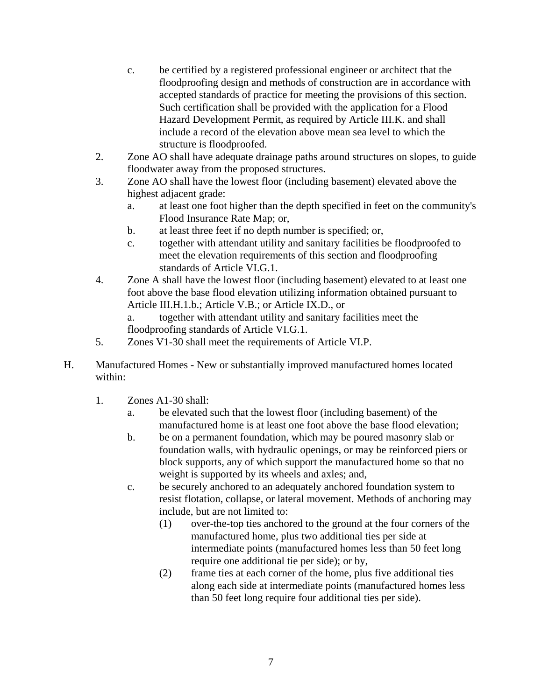- c. be certified by a registered professional engineer or architect that the floodproofing design and methods of construction are in accordance with accepted standards of practice for meeting the provisions of this section. Such certification shall be provided with the application for a Flood Hazard Development Permit, as required by Article III.K. and shall include a record of the elevation above mean sea level to which the structure is floodproofed.
- 2. Zone AO shall have adequate drainage paths around structures on slopes, to guide floodwater away from the proposed structures.
- 3. Zone AO shall have the lowest floor (including basement) elevated above the highest adjacent grade:
	- a. at least one foot higher than the depth specified in feet on the community's Flood Insurance Rate Map; or,
	- b. at least three feet if no depth number is specified; or,
	- c. together with attendant utility and sanitary facilities be floodproofed to meet the elevation requirements of this section and floodproofing standards of Article VI.G.1.
- 4. Zone A shall have the lowest floor (including basement) elevated to at least one foot above the base flood elevation utilizing information obtained pursuant to Article III.H.1.b.; Article V.B.; or Article IX.D., or

a. together with attendant utility and sanitary facilities meet the floodproofing standards of Article VI.G.1.

- 5. Zones V1-30 shall meet the requirements of Article VI.P.
- H. Manufactured Homes New or substantially improved manufactured homes located within:
	- 1. Zones A1-30 shall:
		- a. be elevated such that the lowest floor (including basement) of the manufactured home is at least one foot above the base flood elevation;
		- b. be on a permanent foundation, which may be poured masonry slab or foundation walls, with hydraulic openings, or may be reinforced piers or block supports, any of which support the manufactured home so that no weight is supported by its wheels and axles; and,
		- c. be securely anchored to an adequately anchored foundation system to resist flotation, collapse, or lateral movement. Methods of anchoring may include, but are not limited to:
			- (1) over-the-top ties anchored to the ground at the four corners of the manufactured home, plus two additional ties per side at intermediate points (manufactured homes less than 50 feet long require one additional tie per side); or by,
			- (2) frame ties at each corner of the home, plus five additional ties along each side at intermediate points (manufactured homes less than 50 feet long require four additional ties per side).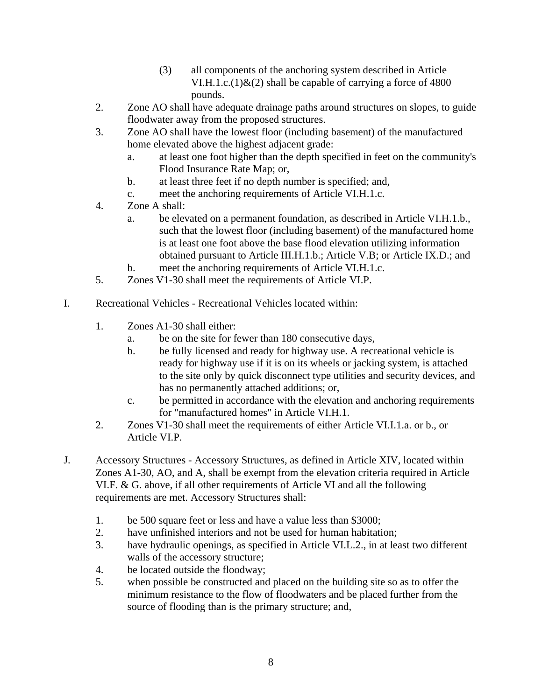- (3) all components of the anchoring system described in Article VI.H.1.c.(1) $\&$ (2) shall be capable of carrying a force of 4800 pounds.
- 2. Zone AO shall have adequate drainage paths around structures on slopes, to guide floodwater away from the proposed structures.
- 3. Zone AO shall have the lowest floor (including basement) of the manufactured home elevated above the highest adjacent grade:
	- a. at least one foot higher than the depth specified in feet on the community's Flood Insurance Rate Map; or,
	- b. at least three feet if no depth number is specified; and,
	- c. meet the anchoring requirements of Article VI.H.1.c.
- 4. Zone A shall:
	- a. be elevated on a permanent foundation, as described in Article VI.H.1.b., such that the lowest floor (including basement) of the manufactured home is at least one foot above the base flood elevation utilizing information obtained pursuant to Article III.H.1.b.; Article V.B; or Article IX.D.; and
	- b. meet the anchoring requirements of Article VI.H.1.c.
- 5. Zones V1-30 shall meet the requirements of Article VI.P.
- I. Recreational Vehicles Recreational Vehicles located within:
	- 1. Zones A1-30 shall either:
		- a. be on the site for fewer than 180 consecutive days,
		- b. be fully licensed and ready for highway use. A recreational vehicle is ready for highway use if it is on its wheels or jacking system, is attached to the site only by quick disconnect type utilities and security devices, and has no permanently attached additions; or,
		- c. be permitted in accordance with the elevation and anchoring requirements for "manufactured homes" in Article VI.H.1.
	- 2. Zones V1-30 shall meet the requirements of either Article VI.I.1.a. or b., or Article VI.P.
- J. Accessory Structures Accessory Structures, as defined in Article XIV, located within Zones A1-30, AO, and A, shall be exempt from the elevation criteria required in Article VI.F. & G. above, if all other requirements of Article VI and all the following requirements are met. Accessory Structures shall:
	- 1. be 500 square feet or less and have a value less than \$3000;
	- 2. have unfinished interiors and not be used for human habitation;
	- 3. have hydraulic openings, as specified in Article VI.L.2., in at least two different walls of the accessory structure;
	- 4. be located outside the floodway;
	- 5. when possible be constructed and placed on the building site so as to offer the minimum resistance to the flow of floodwaters and be placed further from the source of flooding than is the primary structure; and,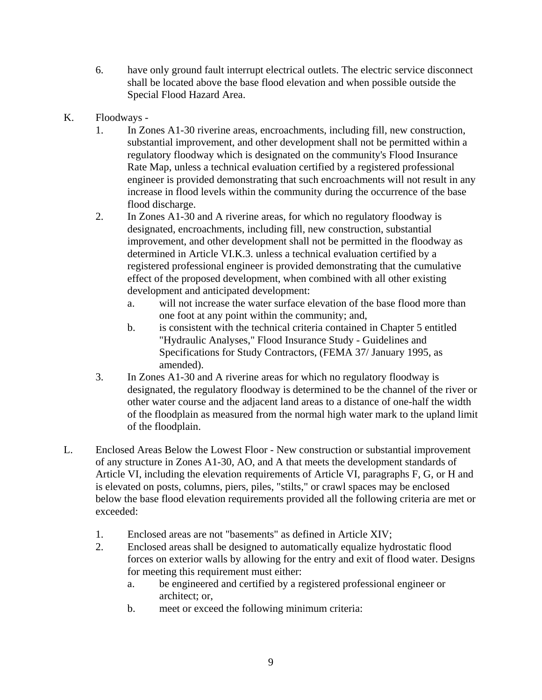- 6. have only ground fault interrupt electrical outlets. The electric service disconnect shall be located above the base flood elevation and when possible outside the Special Flood Hazard Area.
- K. Floodways
	- 1. In Zones A1-30 riverine areas, encroachments, including fill, new construction, substantial improvement, and other development shall not be permitted within a regulatory floodway which is designated on the community's Flood Insurance Rate Map, unless a technical evaluation certified by a registered professional engineer is provided demonstrating that such encroachments will not result in any increase in flood levels within the community during the occurrence of the base flood discharge.
	- 2. In Zones A1-30 and A riverine areas, for which no regulatory floodway is designated, encroachments, including fill, new construction, substantial improvement, and other development shall not be permitted in the floodway as determined in Article VI.K.3. unless a technical evaluation certified by a registered professional engineer is provided demonstrating that the cumulative effect of the proposed development, when combined with all other existing development and anticipated development:
		- a. will not increase the water surface elevation of the base flood more than one foot at any point within the community; and,
		- b. is consistent with the technical criteria contained in Chapter 5 entitled "Hydraulic Analyses," Flood Insurance Study - Guidelines and Specifications for Study Contractors, (FEMA 37/ January 1995, as amended).
	- 3. In Zones A1-30 and A riverine areas for which no regulatory floodway is designated, the regulatory floodway is determined to be the channel of the river or other water course and the adjacent land areas to a distance of one-half the width of the floodplain as measured from the normal high water mark to the upland limit of the floodplain.
- L. Enclosed Areas Below the Lowest Floor New construction or substantial improvement of any structure in Zones A1-30, AO, and A that meets the development standards of Article VI, including the elevation requirements of Article VI, paragraphs F, G, or H and is elevated on posts, columns, piers, piles, "stilts," or crawl spaces may be enclosed below the base flood elevation requirements provided all the following criteria are met or exceeded:
	- 1. Enclosed areas are not "basements" as defined in Article XIV;
	- 2. Enclosed areas shall be designed to automatically equalize hydrostatic flood forces on exterior walls by allowing for the entry and exit of flood water. Designs for meeting this requirement must either:
		- a. be engineered and certified by a registered professional engineer or architect; or,
		- b. meet or exceed the following minimum criteria: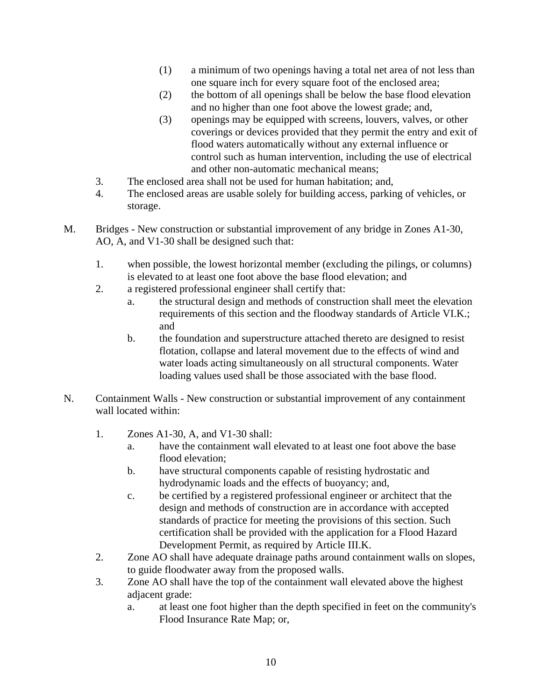- (1) a minimum of two openings having a total net area of not less than one square inch for every square foot of the enclosed area;
- (2) the bottom of all openings shall be below the base flood elevation and no higher than one foot above the lowest grade; and,
- (3) openings may be equipped with screens, louvers, valves, or other coverings or devices provided that they permit the entry and exit of flood waters automatically without any external influence or control such as human intervention, including the use of electrical and other non-automatic mechanical means;
- 3. The enclosed area shall not be used for human habitation; and,
- 4. The enclosed areas are usable solely for building access, parking of vehicles, or storage.
- M. Bridges New construction or substantial improvement of any bridge in Zones A1-30, AO, A, and V1-30 shall be designed such that:
	- 1. when possible, the lowest horizontal member (excluding the pilings, or columns) is elevated to at least one foot above the base flood elevation; and
	- 2. a registered professional engineer shall certify that:
		- a. the structural design and methods of construction shall meet the elevation requirements of this section and the floodway standards of Article VI.K.; and
		- b. the foundation and superstructure attached thereto are designed to resist flotation, collapse and lateral movement due to the effects of wind and water loads acting simultaneously on all structural components. Water loading values used shall be those associated with the base flood.
- N. Containment Walls New construction or substantial improvement of any containment wall located within:
	- 1. Zones A1-30, A, and V1-30 shall:
		- a. have the containment wall elevated to at least one foot above the base flood elevation;
		- b. have structural components capable of resisting hydrostatic and hydrodynamic loads and the effects of buoyancy; and,
		- c. be certified by a registered professional engineer or architect that the design and methods of construction are in accordance with accepted standards of practice for meeting the provisions of this section. Such certification shall be provided with the application for a Flood Hazard Development Permit, as required by Article III.K.
	- 2. Zone AO shall have adequate drainage paths around containment walls on slopes, to guide floodwater away from the proposed walls.
	- 3. Zone AO shall have the top of the containment wall elevated above the highest adjacent grade:
		- a. at least one foot higher than the depth specified in feet on the community's Flood Insurance Rate Map; or,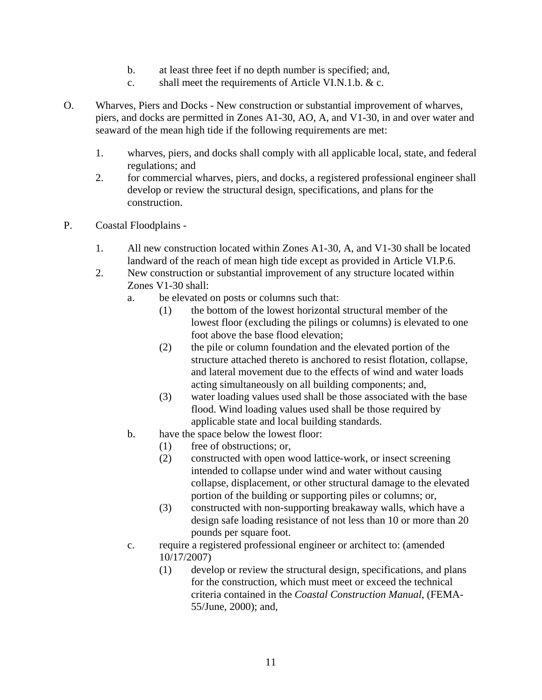- b. at least three feet if no depth number is specified; and,
- c. shall meet the requirements of Article VI.N.1.b. & c.
- O. Wharves, Piers and Docks New construction or substantial improvement of wharves, piers, and docks are permitted in Zones A1-30, AO, A, and V1-30, in and over water and seaward of the mean high tide if the following requirements are met:
	- 1. wharves, piers, and docks shall comply with all applicable local, state, and federal regulations; and
	- 2. for commercial wharves, piers, and docks, a registered professional engineer shall develop or review the structural design, specifications, and plans for the construction.
- P. Coastal Floodplains
	- 1. All new construction located within Zones A1-30, A, and V1-30 shall be located landward of the reach of mean high tide except as provided in Article VI.P.6.
	- 2. New construction or substantial improvement of any structure located within Zones V1-30 shall:
		- a. be elevated on posts or columns such that:
			- (1) the bottom of the lowest horizontal structural member of the lowest floor (excluding the pilings or columns) is elevated to one foot above the base flood elevation;
			- (2) the pile or column foundation and the elevated portion of the structure attached thereto is anchored to resist flotation, collapse, and lateral movement due to the effects of wind and water loads acting simultaneously on all building components; and,
			- (3) water loading values used shall be those associated with the base flood. Wind loading values used shall be those required by applicable state and local building standards.
		- b. have the space below the lowest floor:
			- (1) free of obstructions; or,
			- (2) constructed with open wood lattice-work, or insect screening intended to collapse under wind and water without causing collapse, displacement, or other structural damage to the elevated portion of the building or supporting piles or columns; or,
			- (3) constructed with non-supporting breakaway walls, which have a design safe loading resistance of not less than 10 or more than 20 pounds per square foot.
		- c. require a registered professional engineer or architect to: (amended 10/17/2007)
			- (1) develop or review the structural design, specifications, and plans for the construction, which must meet or exceed the technical criteria contained in the *Coastal Construction Manual*, (FEMA-55/June, 2000); and,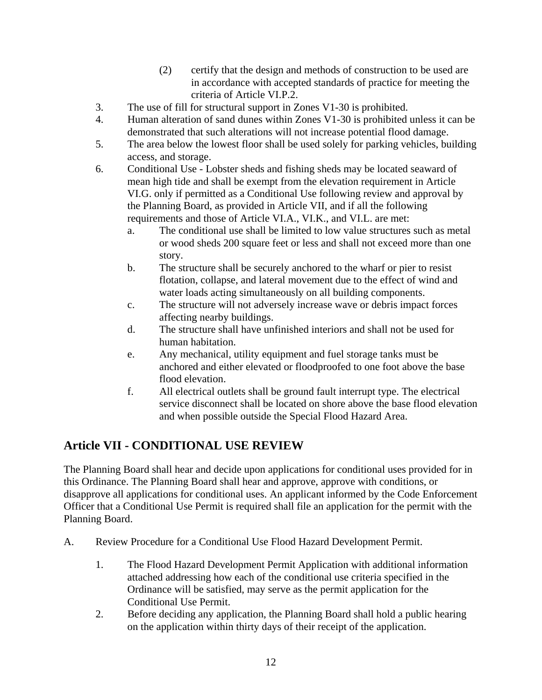- (2) certify that the design and methods of construction to be used are in accordance with accepted standards of practice for meeting the criteria of Article VI.P.2.
- <span id="page-14-0"></span>3. The use of fill for structural support in Zones V1-30 is prohibited.
- 4. Human alteration of sand dunes within Zones V1-30 is prohibited unless it can be demonstrated that such alterations will not increase potential flood damage.
- 5. The area below the lowest floor shall be used solely for parking vehicles, building access, and storage.
- 6. Conditional Use Lobster sheds and fishing sheds may be located seaward of mean high tide and shall be exempt from the elevation requirement in Article VI.G. only if permitted as a Conditional Use following review and approval by the Planning Board, as provided in Article VII, and if all the following requirements and those of Article VI.A., VI.K., and VI.L. are met:
	- a. The conditional use shall be limited to low value structures such as metal or wood sheds 200 square feet or less and shall not exceed more than one story.
	- b. The structure shall be securely anchored to the wharf or pier to resist flotation, collapse, and lateral movement due to the effect of wind and water loads acting simultaneously on all building components.
	- c. The structure will not adversely increase wave or debris impact forces affecting nearby buildings.
	- d. The structure shall have unfinished interiors and shall not be used for human habitation.
	- e. Any mechanical, utility equipment and fuel storage tanks must be anchored and either elevated or floodproofed to one foot above the base flood elevation.
	- f. All electrical outlets shall be ground fault interrupt type. The electrical service disconnect shall be located on shore above the base flood elevation and when possible outside the Special Flood Hazard Area.

## **Article VII - CONDITIONAL USE REVIEW**

The Planning Board shall hear and decide upon applications for conditional uses provided for in this Ordinance. The Planning Board shall hear and approve, approve with conditions, or disapprove all applications for conditional uses. An applicant informed by the Code Enforcement Officer that a Conditional Use Permit is required shall file an application for the permit with the Planning Board.

- A. Review Procedure for a Conditional Use Flood Hazard Development Permit.
	- 1. The Flood Hazard Development Permit Application with additional information attached addressing how each of the conditional use criteria specified in the Ordinance will be satisfied, may serve as the permit application for the Conditional Use Permit.
	- 2. Before deciding any application, the Planning Board shall hold a public hearing on the application within thirty days of their receipt of the application.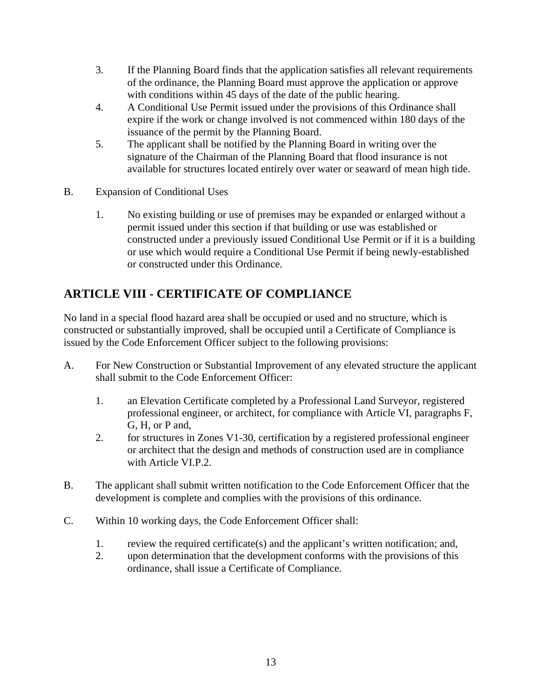- <span id="page-15-0"></span>3. If the Planning Board finds that the application satisfies all relevant requirements of the ordinance, the Planning Board must approve the application or approve with conditions within 45 days of the date of the public hearing.
- 4. A Conditional Use Permit issued under the provisions of this Ordinance shall expire if the work or change involved is not commenced within 180 days of the issuance of the permit by the Planning Board.
- 5. The applicant shall be notified by the Planning Board in writing over the signature of the Chairman of the Planning Board that flood insurance is not available for structures located entirely over water or seaward of mean high tide.
- B. Expansion of Conditional Uses
	- 1. No existing building or use of premises may be expanded or enlarged without a permit issued under this section if that building or use was established or constructed under a previously issued Conditional Use Permit or if it is a building or use which would require a Conditional Use Permit if being newly-established or constructed under this Ordinance.

## **ARTICLE VIII - CERTIFICATE OF COMPLIANCE**

No land in a special flood hazard area shall be occupied or used and no structure, which is constructed or substantially improved, shall be occupied until a Certificate of Compliance is issued by the Code Enforcement Officer subject to the following provisions:

- A. For New Construction or Substantial Improvement of any elevated structure the applicant shall submit to the Code Enforcement Officer:
	- 1. an Elevation Certificate completed by a Professional Land Surveyor, registered professional engineer, or architect, for compliance with Article VI, paragraphs F, G, H, or P and,
	- 2. for structures in Zones V1-30, certification by a registered professional engineer or architect that the design and methods of construction used are in compliance with Article VI.P.2.
- B. The applicant shall submit written notification to the Code Enforcement Officer that the development is complete and complies with the provisions of this ordinance.
- C. Within 10 working days, the Code Enforcement Officer shall:
	- 1. review the required certificate(s) and the applicant's written notification; and,
	- 2. upon determination that the development conforms with the provisions of this ordinance, shall issue a Certificate of Compliance.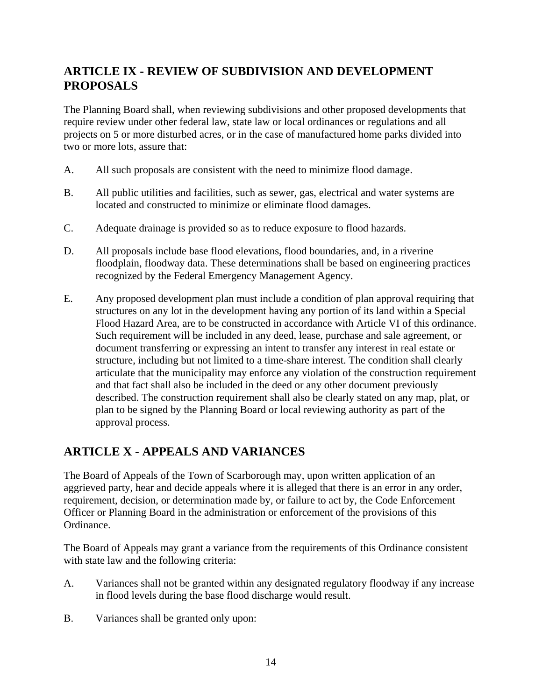## <span id="page-16-0"></span>**ARTICLE IX - REVIEW OF SUBDIVISION AND DEVELOPMENT PROPOSALS**

The Planning Board shall, when reviewing subdivisions and other proposed developments that require review under other federal law, state law or local ordinances or regulations and all projects on 5 or more disturbed acres, or in the case of manufactured home parks divided into two or more lots, assure that:

- A. All such proposals are consistent with the need to minimize flood damage.
- B. All public utilities and facilities, such as sewer, gas, electrical and water systems are located and constructed to minimize or eliminate flood damages.
- C. Adequate drainage is provided so as to reduce exposure to flood hazards.
- D. All proposals include base flood elevations, flood boundaries, and, in a riverine floodplain, floodway data. These determinations shall be based on engineering practices recognized by the Federal Emergency Management Agency.
- E. Any proposed development plan must include a condition of plan approval requiring that structures on any lot in the development having any portion of its land within a Special Flood Hazard Area, are to be constructed in accordance with Article VI of this ordinance. Such requirement will be included in any deed, lease, purchase and sale agreement, or document transferring or expressing an intent to transfer any interest in real estate or structure, including but not limited to a time-share interest. The condition shall clearly articulate that the municipality may enforce any violation of the construction requirement and that fact shall also be included in the deed or any other document previously described. The construction requirement shall also be clearly stated on any map, plat, or plan to be signed by the Planning Board or local reviewing authority as part of the approval process.

## **ARTICLE X - APPEALS AND VARIANCES**

The Board of Appeals of the Town of Scarborough may, upon written application of an aggrieved party, hear and decide appeals where it is alleged that there is an error in any order, requirement, decision, or determination made by, or failure to act by, the Code Enforcement Officer or Planning Board in the administration or enforcement of the provisions of this Ordinance.

The Board of Appeals may grant a variance from the requirements of this Ordinance consistent with state law and the following criteria:

- A. Variances shall not be granted within any designated regulatory floodway if any increase in flood levels during the base flood discharge would result.
- B. Variances shall be granted only upon: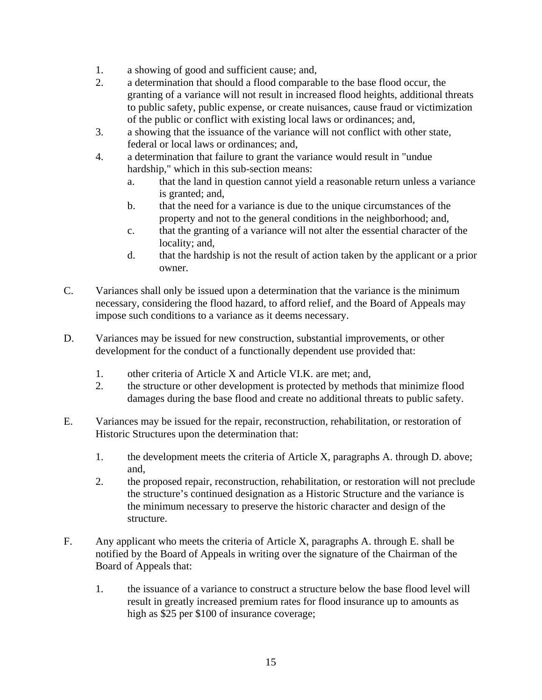- 1. a showing of good and sufficient cause; and,
- 2. a determination that should a flood comparable to the base flood occur, the granting of a variance will not result in increased flood heights, additional threats to public safety, public expense, or create nuisances, cause fraud or victimization of the public or conflict with existing local laws or ordinances; and,
- 3. a showing that the issuance of the variance will not conflict with other state, federal or local laws or ordinances; and,
- 4. a determination that failure to grant the variance would result in "undue hardship," which in this sub-section means:
	- a. that the land in question cannot yield a reasonable return unless a variance is granted; and,
	- b. that the need for a variance is due to the unique circumstances of the property and not to the general conditions in the neighborhood; and,
	- c. that the granting of a variance will not alter the essential character of the locality; and,
	- d. that the hardship is not the result of action taken by the applicant or a prior owner.
- C. Variances shall only be issued upon a determination that the variance is the minimum necessary, considering the flood hazard, to afford relief, and the Board of Appeals may impose such conditions to a variance as it deems necessary.
- D. Variances may be issued for new construction, substantial improvements, or other development for the conduct of a functionally dependent use provided that:
	- 1. other criteria of Article X and Article VI.K. are met; and,
	- 2. the structure or other development is protected by methods that minimize flood damages during the base flood and create no additional threats to public safety.
- E. Variances may be issued for the repair, reconstruction, rehabilitation, or restoration of Historic Structures upon the determination that:
	- 1. the development meets the criteria of Article X, paragraphs A. through D. above; and,
	- 2. the proposed repair, reconstruction, rehabilitation, or restoration will not preclude the structure's continued designation as a Historic Structure and the variance is the minimum necessary to preserve the historic character and design of the structure.
- F. Any applicant who meets the criteria of Article X, paragraphs A. through E. shall be notified by the Board of Appeals in writing over the signature of the Chairman of the Board of Appeals that:
	- 1. the issuance of a variance to construct a structure below the base flood level will result in greatly increased premium rates for flood insurance up to amounts as high as \$25 per \$100 of insurance coverage;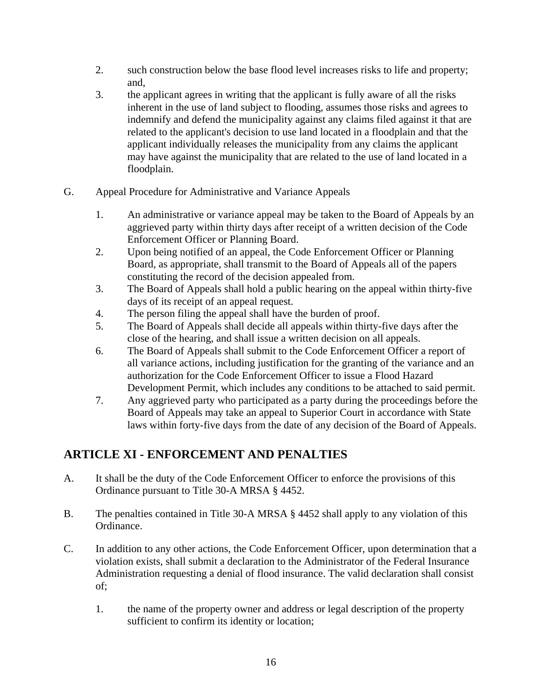- <span id="page-18-0"></span>2. such construction below the base flood level increases risks to life and property; and,
- 3. the applicant agrees in writing that the applicant is fully aware of all the risks inherent in the use of land subject to flooding, assumes those risks and agrees to indemnify and defend the municipality against any claims filed against it that are related to the applicant's decision to use land located in a floodplain and that the applicant individually releases the municipality from any claims the applicant may have against the municipality that are related to the use of land located in a floodplain.
- G. Appeal Procedure for Administrative and Variance Appeals
	- 1. An administrative or variance appeal may be taken to the Board of Appeals by an aggrieved party within thirty days after receipt of a written decision of the Code Enforcement Officer or Planning Board.
	- 2. Upon being notified of an appeal, the Code Enforcement Officer or Planning Board, as appropriate, shall transmit to the Board of Appeals all of the papers constituting the record of the decision appealed from.
	- 3. The Board of Appeals shall hold a public hearing on the appeal within thirty-five days of its receipt of an appeal request.
	- 4. The person filing the appeal shall have the burden of proof.
	- 5. The Board of Appeals shall decide all appeals within thirty-five days after the close of the hearing, and shall issue a written decision on all appeals.
	- 6. The Board of Appeals shall submit to the Code Enforcement Officer a report of all variance actions, including justification for the granting of the variance and an authorization for the Code Enforcement Officer to issue a Flood Hazard Development Permit, which includes any conditions to be attached to said permit.
	- 7. Any aggrieved party who participated as a party during the proceedings before the Board of Appeals may take an appeal to Superior Court in accordance with State laws within forty-five days from the date of any decision of the Board of Appeals.

## **ARTICLE XI - ENFORCEMENT AND PENALTIES**

- A. It shall be the duty of the Code Enforcement Officer to enforce the provisions of this Ordinance pursuant to Title 30-A MRSA § 4452.
- B. The penalties contained in Title 30-A MRSA § 4452 shall apply to any violation of this Ordinance.
- C. In addition to any other actions, the Code Enforcement Officer, upon determination that a violation exists, shall submit a declaration to the Administrator of the Federal Insurance Administration requesting a denial of flood insurance. The valid declaration shall consist of;
	- 1. the name of the property owner and address or legal description of the property sufficient to confirm its identity or location;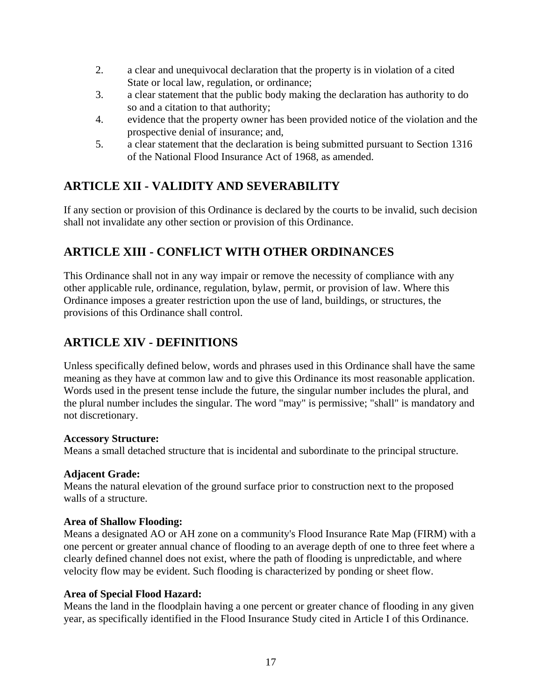- <span id="page-19-0"></span>2. a clear and unequivocal declaration that the property is in violation of a cited State or local law, regulation, or ordinance;
- 3. a clear statement that the public body making the declaration has authority to do so and a citation to that authority;
- 4. evidence that the property owner has been provided notice of the violation and the prospective denial of insurance; and,
- 5. a clear statement that the declaration is being submitted pursuant to Section 1316 of the National Flood Insurance Act of 1968, as amended.

## **ARTICLE XII - VALIDITY AND SEVERABILITY**

If any section or provision of this Ordinance is declared by the courts to be invalid, such decision shall not invalidate any other section or provision of this Ordinance.

## **ARTICLE XIII - CONFLICT WITH OTHER ORDINANCES**

This Ordinance shall not in any way impair or remove the necessity of compliance with any other applicable rule, ordinance, regulation, bylaw, permit, or provision of law. Where this Ordinance imposes a greater restriction upon the use of land, buildings, or structures, the provisions of this Ordinance shall control.

## **ARTICLE XIV - DEFINITIONS**

Unless specifically defined below, words and phrases used in this Ordinance shall have the same meaning as they have at common law and to give this Ordinance its most reasonable application. Words used in the present tense include the future, the singular number includes the plural, and the plural number includes the singular. The word "may" is permissive; "shall" is mandatory and not discretionary.

#### **Accessory Structure:**

Means a small detached structure that is incidental and subordinate to the principal structure.

#### **Adjacent Grade:**

Means the natural elevation of the ground surface prior to construction next to the proposed walls of a structure.

#### **Area of Shallow Flooding:**

Means a designated AO or AH zone on a community's Flood Insurance Rate Map (FIRM) with a one percent or greater annual chance of flooding to an average depth of one to three feet where a clearly defined channel does not exist, where the path of flooding is unpredictable, and where velocity flow may be evident. Such flooding is characterized by ponding or sheet flow.

#### **Area of Special Flood Hazard:**

Means the land in the floodplain having a one percent or greater chance of flooding in any given year, as specifically identified in the Flood Insurance Study cited in Article I of this Ordinance.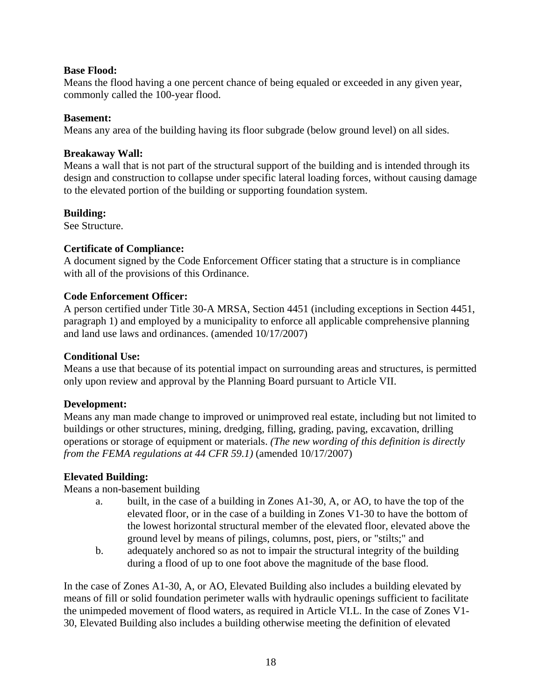#### <span id="page-20-0"></span>**Base Flood:**

Means the flood having a one percent chance of being equaled or exceeded in any given year, commonly called the 100-year flood.

#### **Basement:**

Means any area of the building having its floor subgrade (below ground level) on all sides.

#### **Breakaway Wall:**

Means a wall that is not part of the structural support of the building and is intended through its design and construction to collapse under specific lateral loading forces, without causing damage to the elevated portion of the building or supporting foundation system.

#### **Building:**

See Structure.

#### **Certificate of Compliance:**

A document signed by the Code Enforcement Officer stating that a structure is in compliance with all of the provisions of this Ordinance.

#### **Code Enforcement Officer:**

A person certified under Title 30-A MRSA, Section 4451 (including exceptions in Section 4451, paragraph 1) and employed by a municipality to enforce all applicable comprehensive planning and land use laws and ordinances. (amended 10/17/2007)

#### **Conditional Use:**

Means a use that because of its potential impact on surrounding areas and structures, is permitted only upon review and approval by the Planning Board pursuant to Article VII.

#### **Development:**

Means any man made change to improved or unimproved real estate, including but not limited to buildings or other structures, mining, dredging, filling, grading, paving, excavation, drilling operations or storage of equipment or materials. *(The new wording of this definition is directly from the FEMA regulations at 44 CFR 59.1)* (amended 10/17/2007)

#### **Elevated Building:**

Means a non-basement building

- a. built, in the case of a building in Zones A1-30, A, or AO, to have the top of the elevated floor, or in the case of a building in Zones V1-30 to have the bottom of the lowest horizontal structural member of the elevated floor, elevated above the ground level by means of pilings, columns, post, piers, or "stilts;" and
- b. adequately anchored so as not to impair the structural integrity of the building during a flood of up to one foot above the magnitude of the base flood.

In the case of Zones A1-30, A, or AO, Elevated Building also includes a building elevated by means of fill or solid foundation perimeter walls with hydraulic openings sufficient to facilitate the unimpeded movement of flood waters, as required in Article VI.L. In the case of Zones V1- 30, Elevated Building also includes a building otherwise meeting the definition of elevated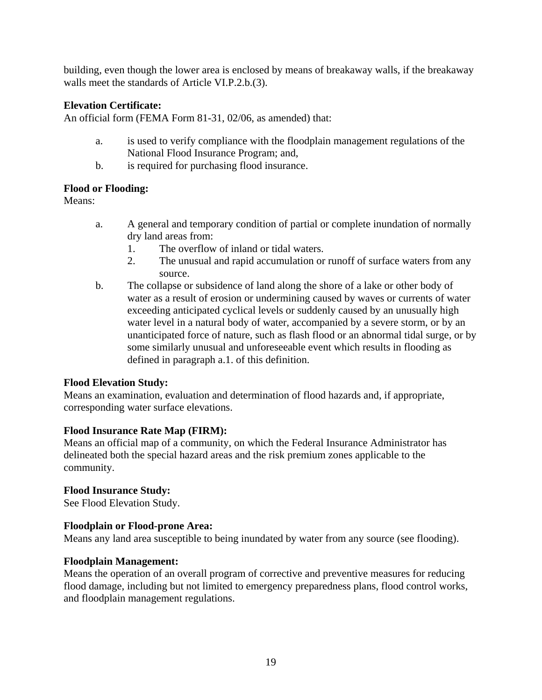<span id="page-21-0"></span>building, even though the lower area is enclosed by means of breakaway walls, if the breakaway walls meet the standards of Article VI.P.2.b.(3).

#### **Elevation Certificate:**

An official form (FEMA Form 81-31, 02/06, as amended) that:

- a. is used to verify compliance with the floodplain management regulations of the National Flood Insurance Program; and,
- b. is required for purchasing flood insurance.

#### **Flood or Flooding:**

Means:

- a. A general and temporary condition of partial or complete inundation of normally dry land areas from:
	- 1. The overflow of inland or tidal waters.
	- 2. The unusual and rapid accumulation or runoff of surface waters from any source.
- b. The collapse or subsidence of land along the shore of a lake or other body of water as a result of erosion or undermining caused by waves or currents of water exceeding anticipated cyclical levels or suddenly caused by an unusually high water level in a natural body of water, accompanied by a severe storm, or by an unanticipated force of nature, such as flash flood or an abnormal tidal surge, or by some similarly unusual and unforeseeable event which results in flooding as defined in paragraph a.1. of this definition.

#### **Flood Elevation Study:**

Means an examination, evaluation and determination of flood hazards and, if appropriate, corresponding water surface elevations.

#### **Flood Insurance Rate Map (FIRM):**

Means an official map of a community, on which the Federal Insurance Administrator has delineated both the special hazard areas and the risk premium zones applicable to the community.

#### **Flood Insurance Study:**

See Flood Elevation Study.

#### **Floodplain or Flood-prone Area:**

Means any land area susceptible to being inundated by water from any source (see flooding).

#### **Floodplain Management:**

Means the operation of an overall program of corrective and preventive measures for reducing flood damage, including but not limited to emergency preparedness plans, flood control works, and floodplain management regulations.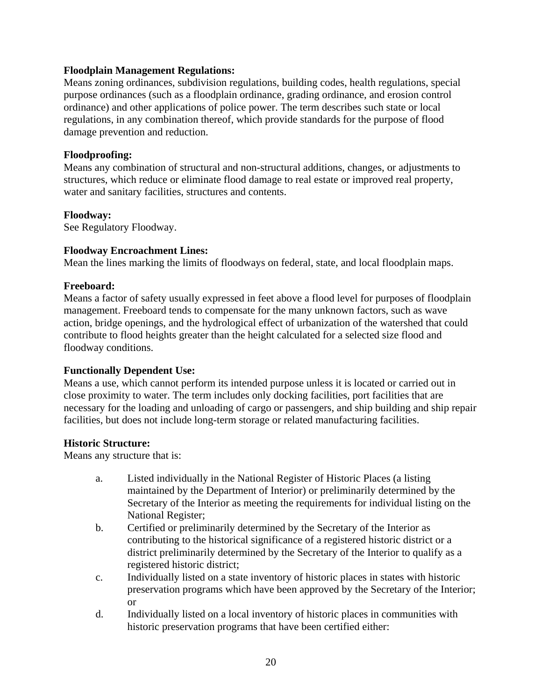#### <span id="page-22-0"></span>**Floodplain Management Regulations:**

Means zoning ordinances, subdivision regulations, building codes, health regulations, special purpose ordinances (such as a floodplain ordinance, grading ordinance, and erosion control ordinance) and other applications of police power. The term describes such state or local regulations, in any combination thereof, which provide standards for the purpose of flood damage prevention and reduction.

#### **Floodproofing:**

Means any combination of structural and non-structural additions, changes, or adjustments to structures, which reduce or eliminate flood damage to real estate or improved real property, water and sanitary facilities, structures and contents.

#### **Floodway:**

See Regulatory Floodway.

#### **Floodway Encroachment Lines:**

Mean the lines marking the limits of floodways on federal, state, and local floodplain maps.

#### **Freeboard:**

Means a factor of safety usually expressed in feet above a flood level for purposes of floodplain management. Freeboard tends to compensate for the many unknown factors, such as wave action, bridge openings, and the hydrological effect of urbanization of the watershed that could contribute to flood heights greater than the height calculated for a selected size flood and floodway conditions.

#### **Functionally Dependent Use:**

Means a use, which cannot perform its intended purpose unless it is located or carried out in close proximity to water. The term includes only docking facilities, port facilities that are necessary for the loading and unloading of cargo or passengers, and ship building and ship repair facilities, but does not include long-term storage or related manufacturing facilities.

#### **Historic Structure:**

Means any structure that is:

- a. Listed individually in the National Register of Historic Places (a listing maintained by the Department of Interior) or preliminarily determined by the Secretary of the Interior as meeting the requirements for individual listing on the National Register;
- b. Certified or preliminarily determined by the Secretary of the Interior as contributing to the historical significance of a registered historic district or a district preliminarily determined by the Secretary of the Interior to qualify as a registered historic district;
- c. Individually listed on a state inventory of historic places in states with historic preservation programs which have been approved by the Secretary of the Interior; or
- d. Individually listed on a local inventory of historic places in communities with historic preservation programs that have been certified either: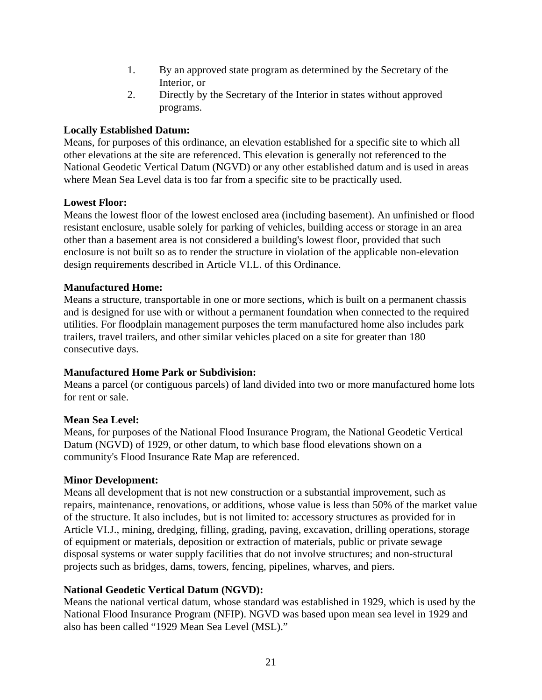- 1. By an approved state program as determined by the Secretary of the Interior, or
- 2. Directly by the Secretary of the Interior in states without approved programs.

#### <span id="page-23-0"></span>**Locally Established Datum:**

Means, for purposes of this ordinance, an elevation established for a specific site to which all other elevations at the site are referenced. This elevation is generally not referenced to the National Geodetic Vertical Datum (NGVD) or any other established datum and is used in areas where Mean Sea Level data is too far from a specific site to be practically used.

#### **Lowest Floor:**

Means the lowest floor of the lowest enclosed area (including basement). An unfinished or flood resistant enclosure, usable solely for parking of vehicles, building access or storage in an area other than a basement area is not considered a building's lowest floor, provided that such enclosure is not built so as to render the structure in violation of the applicable non-elevation design requirements described in Article VI.L. of this Ordinance.

#### **Manufactured Home:**

Means a structure, transportable in one or more sections, which is built on a permanent chassis and is designed for use with or without a permanent foundation when connected to the required utilities. For floodplain management purposes the term manufactured home also includes park trailers, travel trailers, and other similar vehicles placed on a site for greater than 180 consecutive days.

#### **Manufactured Home Park or Subdivision:**

Means a parcel (or contiguous parcels) of land divided into two or more manufactured home lots for rent or sale.

#### **Mean Sea Level:**

Means, for purposes of the National Flood Insurance Program, the National Geodetic Vertical Datum (NGVD) of 1929, or other datum, to which base flood elevations shown on a community's Flood Insurance Rate Map are referenced.

#### **Minor Development:**

Means all development that is not new construction or a substantial improvement, such as repairs, maintenance, renovations, or additions, whose value is less than 50% of the market value of the structure. It also includes, but is not limited to: accessory structures as provided for in Article VI.J., mining, dredging, filling, grading, paving, excavation, drilling operations, storage of equipment or materials, deposition or extraction of materials, public or private sewage disposal systems or water supply facilities that do not involve structures; and non-structural projects such as bridges, dams, towers, fencing, pipelines, wharves, and piers.

#### **National Geodetic Vertical Datum (NGVD):**

Means the national vertical datum, whose standard was established in 1929, which is used by the National Flood Insurance Program (NFIP). NGVD was based upon mean sea level in 1929 and also has been called "1929 Mean Sea Level (MSL)."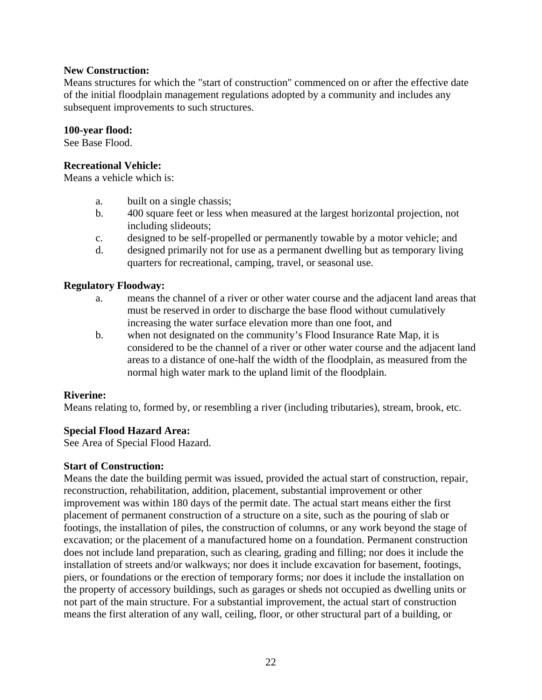#### <span id="page-24-0"></span>**New Construction:**

Means structures for which the "start of construction" commenced on or after the effective date of the initial floodplain management regulations adopted by a community and includes any subsequent improvements to such structures.

#### **100-year flood:**

See Base Flood.

#### **Recreational Vehicle:**

Means a vehicle which is:

- a. built on a single chassis;
- b. 400 square feet or less when measured at the largest horizontal projection, not including slideouts;
- c. designed to be self-propelled or permanently towable by a motor vehicle; and
- d. designed primarily not for use as a permanent dwelling but as temporary living quarters for recreational, camping, travel, or seasonal use.

#### **Regulatory Floodway:**

- a. means the channel of a river or other water course and the adjacent land areas that must be reserved in order to discharge the base flood without cumulatively increasing the water surface elevation more than one foot, and
- b. when not designated on the community's Flood Insurance Rate Map, it is considered to be the channel of a river or other water course and the adjacent land areas to a distance of one-half the width of the floodplain, as measured from the normal high water mark to the upland limit of the floodplain.

#### **Riverine:**

Means relating to, formed by, or resembling a river (including tributaries), stream, brook, etc.

#### **Special Flood Hazard Area:**

See Area of Special Flood Hazard.

#### **Start of Construction:**

Means the date the building permit was issued, provided the actual start of construction, repair, reconstruction, rehabilitation, addition, placement, substantial improvement or other improvement was within 180 days of the permit date. The actual start means either the first placement of permanent construction of a structure on a site, such as the pouring of slab or footings, the installation of piles, the construction of columns, or any work beyond the stage of excavation; or the placement of a manufactured home on a foundation. Permanent construction does not include land preparation, such as clearing, grading and filling; nor does it include the installation of streets and/or walkways; nor does it include excavation for basement, footings, piers, or foundations or the erection of temporary forms; nor does it include the installation on the property of accessory buildings, such as garages or sheds not occupied as dwelling units or not part of the main structure. For a substantial improvement, the actual start of construction means the first alteration of any wall, ceiling, floor, or other structural part of a building, or